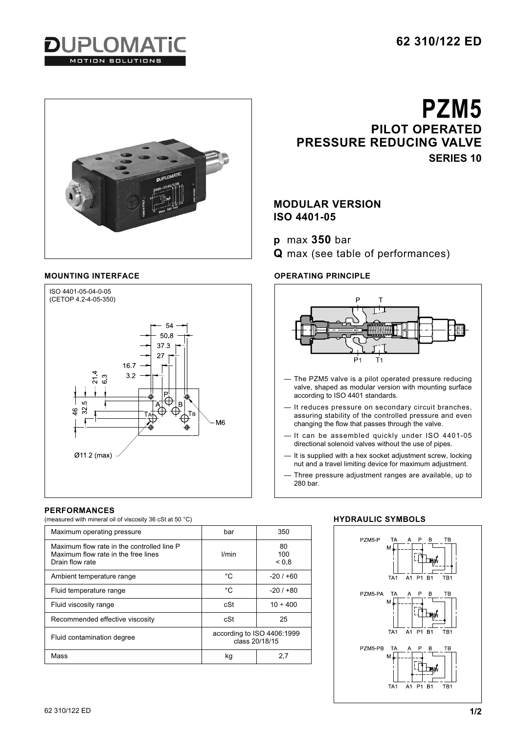





## **PERFORMANCES**

(measured with mineral oil of viscosity 36 cSt at 50 °C)

| Maximum operating pressure                                                                           | bar                                          | 350                     |
|------------------------------------------------------------------------------------------------------|----------------------------------------------|-------------------------|
| Maximum flow rate in the controlled line P<br>Maximum flow rate in the free lines<br>Drain flow rate | l/min                                        | 80<br>100<br>${}_{0.8}$ |
| Ambient temperature range                                                                            | °C                                           | $-20/100$               |
| Fluid temperature range                                                                              | °C                                           | $-20/1+80$              |
| Fluid viscosity range                                                                                | cSt                                          | $10 \div 400$           |
| Recommended effective viscosity                                                                      | cSt                                          | 25                      |
| Fluid contamination degree                                                                           | according to ISO 4406:1999<br>class 20/18/15 |                         |
| Mass                                                                                                 | kg                                           | 2,7                     |

**PZM5 PILOT OPERATED PRESSURE REDUCING VALVE SERIES 10**

# **MODULAR VERSION ISO 4401-05**

**p** max **350** bar

**Q** max (see table of performances)

# **MOUNTING INTERFACE OPERATING PRINCIPLE**



- The PZM5 valve is a pilot operated pressure reducing valve, shaped as modular version with mounting surface according to ISO 4401 standards.
- It reduces pressure on secondary circuit branches, assuring stability of the controlled pressure and even changing the flow that passes through the valve.
- It can be assembled quickly under ISO 4401-05 directional solenoid valves without the use of pipes.
- It is supplied with a hex socket adjustment screw, locking nut and a travel limiting device for maximum adjustment.
- Three pressure adjustment ranges are available, up to 280 bar.

# **HYDRAULIC SYMBOLS**